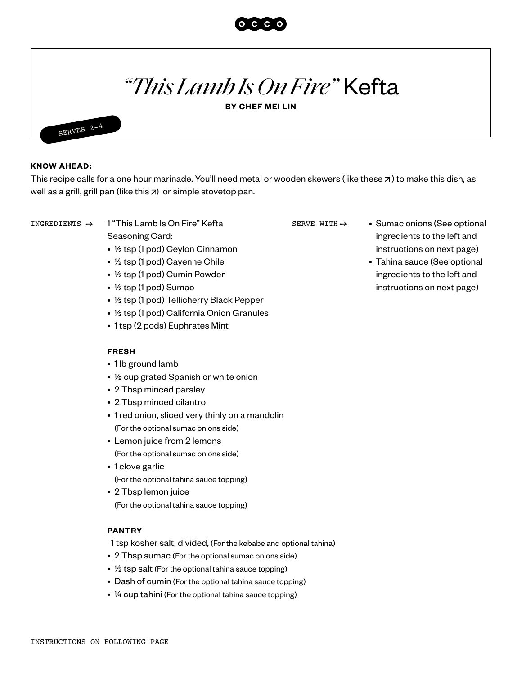

# *"This Lamb Is On Fire"* Kefta

**BY CHEF MEI LIN**



#### **KNOW AHEAD:**

This recipe calls for a one hour marinade. You'll need metal or wooden skewers ([like these](https://www.amazon.com/Stainless-Brazilian-Barbecue-Skewers-Koubideh/dp/B083NGVM7W/ref=sr_1_3?dchild=1&gclid=Cj0KCQiAjKqABhDLARIsABbJrGltcaIqEFcN1mkgyBlFpeG4GiS7DjPAgOV5nZCXXAfJOEP155KXIhUaAokBEALw_wcB&hvadid=446561625541&hvdev=c&hvlocphy=9061107&hvnetw=g&hvqmt=e&hvrand=5083522154497806068&hvtargid=kwd-427718177022&hydadcr=5791_9976754&keywords=flat+skewers+for+kabobs&qid=1611330266&sr=8-3&tag=googhydr-20)  $\pi$ ) to make this dish, as well as a grill, grill pan (like this  $\overline{z}$ ) or simple stovetop pan.

1 "This Lamb Is On Fire" Kefta Seasoning Card:

- ½ tsp (1 pod) Ceylon Cinnamon
- ½ tsp (1 pod) Cayenne Chile
- ½ tsp (1 pod) Cumin Powder
- ½ tsp (1 pod) Sumac
- ½ tsp (1 pod) Tellicherry Black Pepper
- ½ tsp (1 pod) California Onion Granules
- 1 tsp (2 pods) Euphrates Mint

### **FRESH**

- 1 lb ground lamb
- ½ cup grated Spanish or white onion
- 2 Tbsp minced parsley
- 2 Tbsp minced cilantro
- 1 red onion, sliced very thinly on a mandolin (For the optional sumac onions side)
- Lemon juice from 2 lemons (For the optional sumac onions side)
- 1 clove garlic (For the optional tahina sauce topping)
- 2 Tbsp lemon juice (For the optional tahina sauce topping)

#### **PANTRY**

- 1 tsp kosher salt, divided, (For the kebabe and optional tahina)
- 2 Tbsp sumac (For the optional sumac onions side)
- $\frac{1}{2}$  tsp salt (For the optional tahina sauce topping)
- Dash of cumin (For the optional tahina sauce topping)
- ¼ cup tahini (For the optional tahina sauce topping)

SERVE WITH  $\rightarrow$ 

- INGREDIENTS  $\rightarrow$  1 "This Lamb Is On Fire" Kefta SERVE WITH  $\rightarrow$  Sumac onions (See optional ingredients to the left and instructions on next page)
	- Tahina sauce (See optional ingredients to the left and instructions on next page)